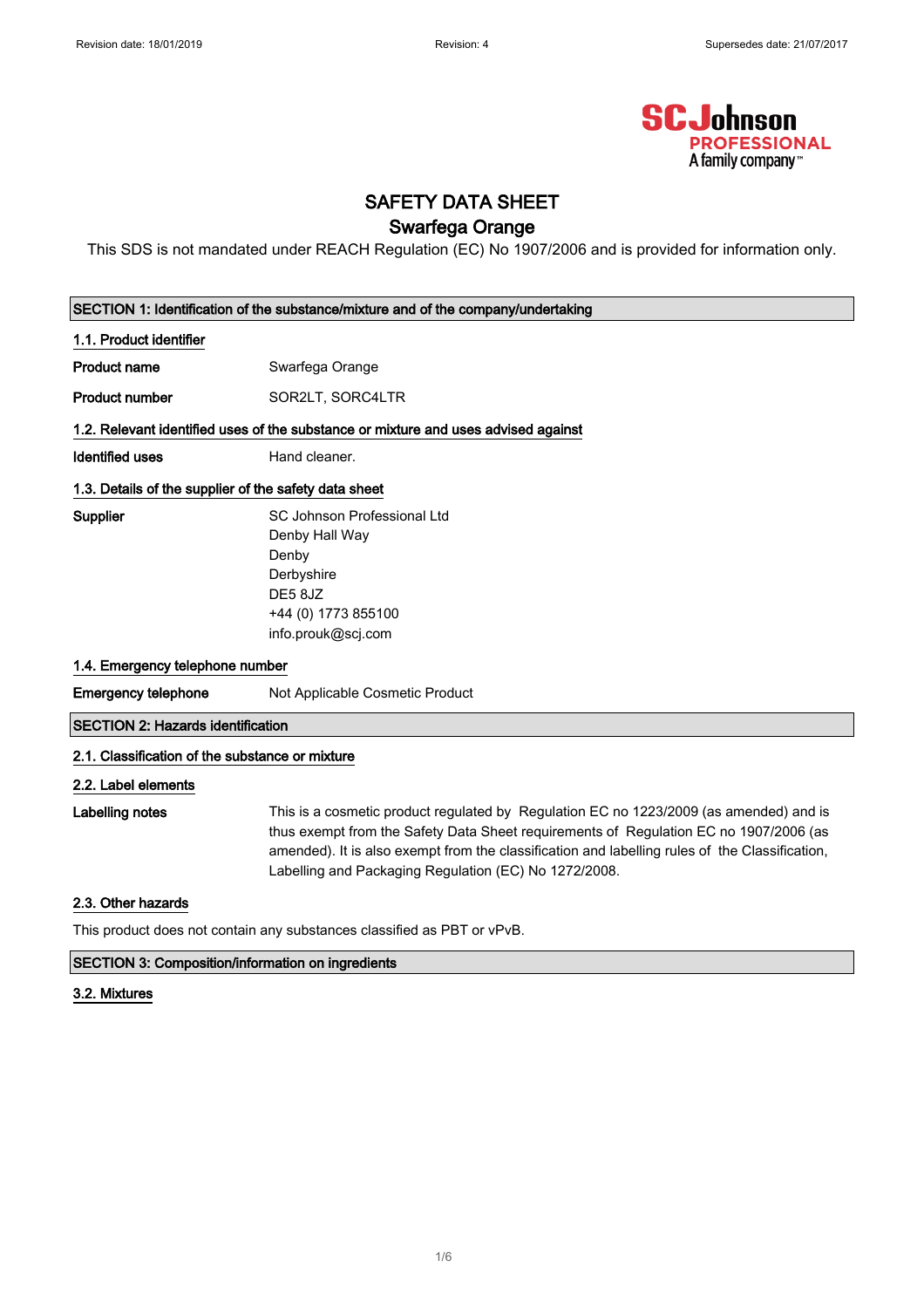

## SAFETY DATA SHEET

## Swarfega Orange

This SDS is not mandated under REACH Regulation (EC) No 1907/2006 and is provided for information only.

| SECTION 1: Identification of the substance/mixture and of the company/undertaking  |                                 |  |
|------------------------------------------------------------------------------------|---------------------------------|--|
| 1.1. Product identifier                                                            |                                 |  |
| <b>Product name</b>                                                                | Swarfega Orange                 |  |
| <b>Product number</b>                                                              | SOR2LT, SORC4LTR                |  |
| 1.2. Relevant identified uses of the substance or mixture and uses advised against |                                 |  |
| Identified uses                                                                    | Hand cleaner.                   |  |
| 1.3. Details of the supplier of the safety data sheet                              |                                 |  |
| Supplier                                                                           | SC Johnson Professional Ltd     |  |
|                                                                                    | Denby Hall Way                  |  |
|                                                                                    | Denby                           |  |
|                                                                                    | Derbyshire                      |  |
|                                                                                    | DE58JZ                          |  |
|                                                                                    | +44 (0) 1773 855100             |  |
|                                                                                    | info.prouk@scj.com              |  |
| 1.4. Emergency telephone number                                                    |                                 |  |
| <b>Emergency telephone</b>                                                         | Not Applicable Cosmetic Product |  |
| <b>SECTION 2: Hazards identification</b>                                           |                                 |  |
| 2.1. Classification of the substance or mixture                                    |                                 |  |

## 2.2. Label elements

Labelling notes This is a cosmetic product regulated by Regulation EC no 1223/2009 (as amended) and is thus exempt from the Safety Data Sheet requirements of Regulation EC no 1907/2006 (as amended). It is also exempt from the classification and labelling rules of the Classification, Labelling and Packaging Regulation (EC) No 1272/2008.

## 2.3. Other hazards

This product does not contain any substances classified as PBT or vPvB.

#### SECTION 3: Composition/information on ingredients

#### 3.2. Mixtures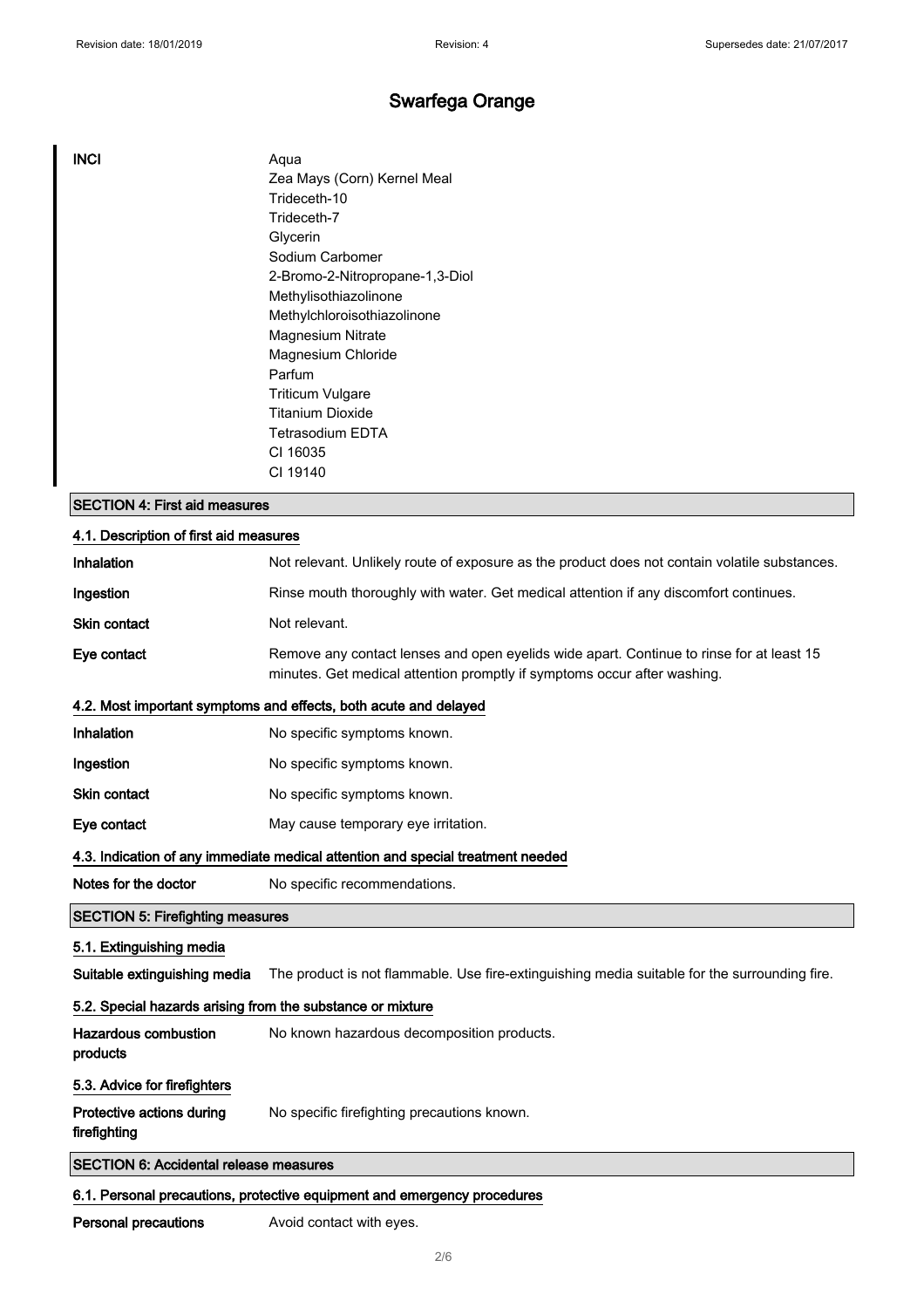| <b>INCI</b>                                                | Aqua                                                                                                                                                                 |
|------------------------------------------------------------|----------------------------------------------------------------------------------------------------------------------------------------------------------------------|
|                                                            | Zea Mays (Corn) Kernel Meal                                                                                                                                          |
|                                                            | Trideceth-10                                                                                                                                                         |
|                                                            | Trideceth-7                                                                                                                                                          |
|                                                            | Glycerin                                                                                                                                                             |
|                                                            | Sodium Carbomer                                                                                                                                                      |
|                                                            | 2-Bromo-2-Nitropropane-1,3-Diol                                                                                                                                      |
|                                                            | Methylisothiazolinone                                                                                                                                                |
|                                                            | Methylchloroisothiazolinone                                                                                                                                          |
|                                                            | Magnesium Nitrate                                                                                                                                                    |
|                                                            | Magnesium Chloride                                                                                                                                                   |
|                                                            | Parfum                                                                                                                                                               |
|                                                            | <b>Triticum Vulgare</b>                                                                                                                                              |
|                                                            | <b>Titanium Dioxide</b>                                                                                                                                              |
|                                                            | Tetrasodium EDTA                                                                                                                                                     |
|                                                            | CI 16035<br>CI 19140                                                                                                                                                 |
|                                                            |                                                                                                                                                                      |
| <b>SECTION 4: First aid measures</b>                       |                                                                                                                                                                      |
| 4.1. Description of first aid measures                     |                                                                                                                                                                      |
| Inhalation                                                 | Not relevant. Unlikely route of exposure as the product does not contain volatile substances.                                                                        |
| Ingestion                                                  | Rinse mouth thoroughly with water. Get medical attention if any discomfort continues.                                                                                |
| <b>Skin contact</b>                                        | Not relevant.                                                                                                                                                        |
| Eye contact                                                | Remove any contact lenses and open eyelids wide apart. Continue to rinse for at least 15<br>minutes. Get medical attention promptly if symptoms occur after washing. |
|                                                            | 4.2. Most important symptoms and effects, both acute and delayed                                                                                                     |
| Inhalation                                                 | No specific symptoms known.                                                                                                                                          |
| Ingestion                                                  | No specific symptoms known.                                                                                                                                          |
| Skin contact                                               | No specific symptoms known.                                                                                                                                          |
| Eye contact                                                | May cause temporary eye irritation.                                                                                                                                  |
|                                                            | 4.3. Indication of any immediate medical attention and special treatment needed                                                                                      |
| Notes for the doctor                                       | No specific recommendations.                                                                                                                                         |
| <b>SECTION 5: Firefighting measures</b>                    |                                                                                                                                                                      |
| 5.1. Extinguishing media                                   |                                                                                                                                                                      |
| Suitable extinguishing media                               | The product is not flammable. Use fire-extinguishing media suitable for the surrounding fire.                                                                        |
| 5.2. Special hazards arising from the substance or mixture |                                                                                                                                                                      |
| Hazardous combustion                                       | No known hazardous decomposition products.                                                                                                                           |

## 5.3. Advice for firefighters

products

| Protective actions during | No specific firefighting precautions known. |
|---------------------------|---------------------------------------------|
| firefighting              |                                             |

## SECTION 6: Accidental release measures

## 6.1. Personal precautions, protective equipment and emergency procedures

Personal precautions **Avoid contact with eyes.**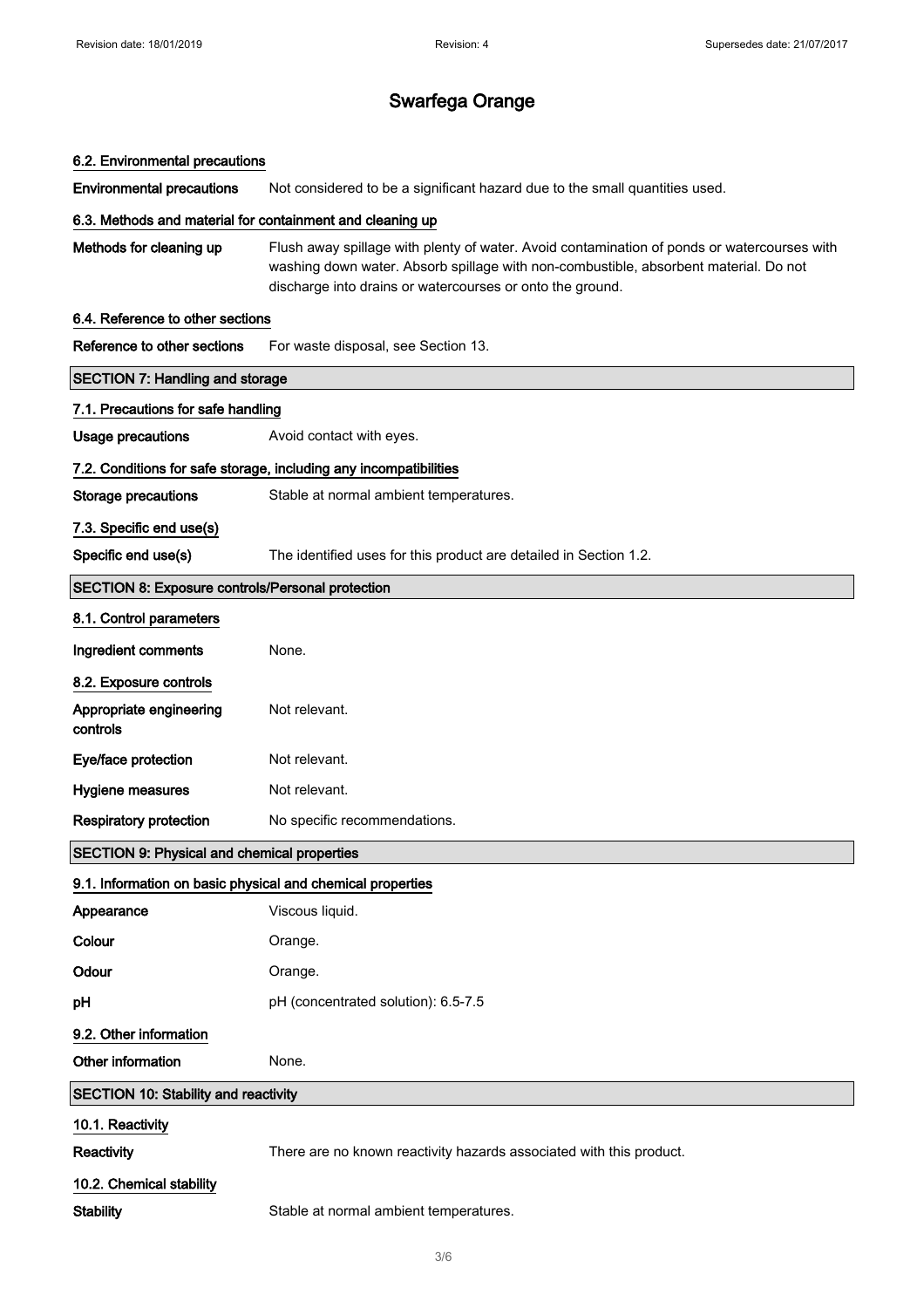#### 6.2. Environmental precautions

Environmental precautions Not considered to be a significant hazard due to the small quantities used.

## 6.3. Methods and material for containment and cleaning up

Methods for cleaning up Flush away spillage with plenty of water. Avoid contamination of ponds or watercourses with washing down water. Absorb spillage with non-combustible, absorbent material. Do not discharge into drains or watercourses or onto the ground.

#### 6.4. Reference to other sections

Reference to other sections For waste disposal, see Section 13.

| <b>SECTION 7: Handling and storage</b>                     |                                                                     |  |  |
|------------------------------------------------------------|---------------------------------------------------------------------|--|--|
| 7.1. Precautions for safe handling                         |                                                                     |  |  |
| <b>Usage precautions</b>                                   | Avoid contact with eyes.                                            |  |  |
|                                                            | 7.2. Conditions for safe storage, including any incompatibilities   |  |  |
| <b>Storage precautions</b>                                 | Stable at normal ambient temperatures.                              |  |  |
| 7.3. Specific end use(s)                                   |                                                                     |  |  |
| Specific end use(s)                                        | The identified uses for this product are detailed in Section 1.2.   |  |  |
| <b>SECTION 8: Exposure controls/Personal protection</b>    |                                                                     |  |  |
| 8.1. Control parameters                                    |                                                                     |  |  |
| Ingredient comments                                        | None.                                                               |  |  |
| 8.2. Exposure controls                                     |                                                                     |  |  |
| Appropriate engineering<br>controls                        | Not relevant.                                                       |  |  |
| Eye/face protection                                        | Not relevant.                                                       |  |  |
| <b>Hygiene measures</b>                                    | Not relevant.                                                       |  |  |
| <b>Respiratory protection</b>                              | No specific recommendations.                                        |  |  |
| <b>SECTION 9: Physical and chemical properties</b>         |                                                                     |  |  |
| 9.1. Information on basic physical and chemical properties |                                                                     |  |  |
| Appearance                                                 | Viscous liquid.                                                     |  |  |
| Colour                                                     | Orange.                                                             |  |  |
| Odour                                                      | Orange.                                                             |  |  |
| pH                                                         | pH (concentrated solution): 6.5-7.5                                 |  |  |
| 9.2. Other information                                     |                                                                     |  |  |
| Other information                                          | None.                                                               |  |  |
| SECTION 10: Stability and reactivity                       |                                                                     |  |  |
| 10.1. Reactivity                                           |                                                                     |  |  |
| Reactivity                                                 | There are no known reactivity hazards associated with this product. |  |  |
| 10.2. Chemical stability                                   |                                                                     |  |  |
| <b>Stability</b>                                           | Stable at normal ambient temperatures.                              |  |  |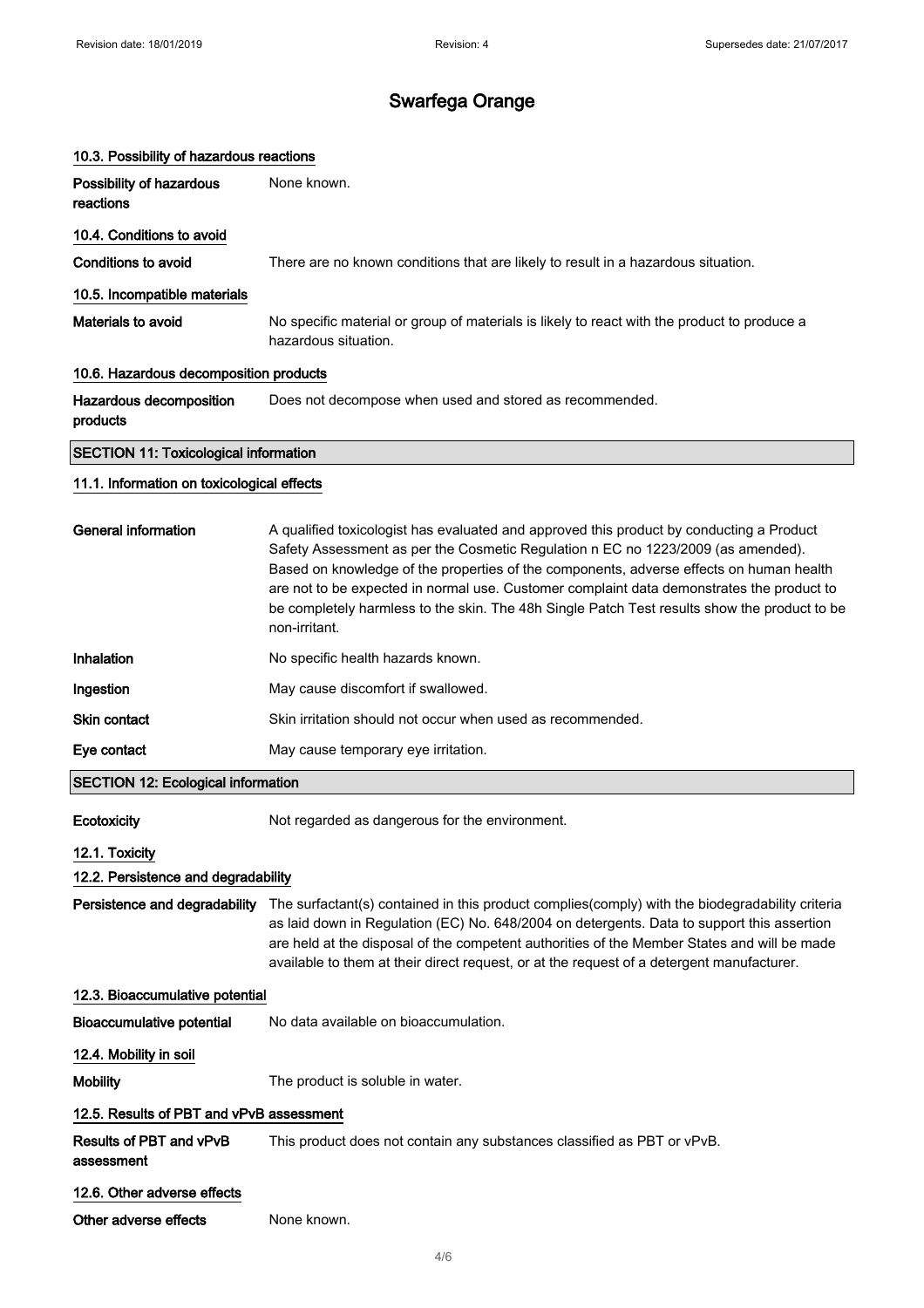| 10.3. Possibility of hazardous reactions     |                                                                                                                                                                                                                                                                                                                                                                                                                                                                                       |  |  |  |
|----------------------------------------------|---------------------------------------------------------------------------------------------------------------------------------------------------------------------------------------------------------------------------------------------------------------------------------------------------------------------------------------------------------------------------------------------------------------------------------------------------------------------------------------|--|--|--|
| Possibility of hazardous<br>reactions        | None known.                                                                                                                                                                                                                                                                                                                                                                                                                                                                           |  |  |  |
| 10.4. Conditions to avoid                    |                                                                                                                                                                                                                                                                                                                                                                                                                                                                                       |  |  |  |
| Conditions to avoid                          | There are no known conditions that are likely to result in a hazardous situation.                                                                                                                                                                                                                                                                                                                                                                                                     |  |  |  |
| 10.5. Incompatible materials                 |                                                                                                                                                                                                                                                                                                                                                                                                                                                                                       |  |  |  |
| Materials to avoid                           | No specific material or group of materials is likely to react with the product to produce a<br>hazardous situation.                                                                                                                                                                                                                                                                                                                                                                   |  |  |  |
| 10.6. Hazardous decomposition products       |                                                                                                                                                                                                                                                                                                                                                                                                                                                                                       |  |  |  |
| Hazardous decomposition<br>products          | Does not decompose when used and stored as recommended.                                                                                                                                                                                                                                                                                                                                                                                                                               |  |  |  |
| <b>SECTION 11: Toxicological information</b> |                                                                                                                                                                                                                                                                                                                                                                                                                                                                                       |  |  |  |
| 11.1. Information on toxicological effects   |                                                                                                                                                                                                                                                                                                                                                                                                                                                                                       |  |  |  |
| <b>General information</b>                   | A qualified toxicologist has evaluated and approved this product by conducting a Product<br>Safety Assessment as per the Cosmetic Regulation n EC no 1223/2009 (as amended).<br>Based on knowledge of the properties of the components, adverse effects on human health<br>are not to be expected in normal use. Customer complaint data demonstrates the product to<br>be completely harmless to the skin. The 48h Single Patch Test results show the product to be<br>non-irritant. |  |  |  |
| Inhalation                                   | No specific health hazards known.                                                                                                                                                                                                                                                                                                                                                                                                                                                     |  |  |  |
| Ingestion                                    | May cause discomfort if swallowed.                                                                                                                                                                                                                                                                                                                                                                                                                                                    |  |  |  |
| <b>Skin contact</b>                          | Skin irritation should not occur when used as recommended.                                                                                                                                                                                                                                                                                                                                                                                                                            |  |  |  |
| Eye contact                                  | May cause temporary eye irritation.                                                                                                                                                                                                                                                                                                                                                                                                                                                   |  |  |  |
| <b>SECTION 12: Ecological information</b>    |                                                                                                                                                                                                                                                                                                                                                                                                                                                                                       |  |  |  |
| Ecotoxicity                                  | Not regarded as dangerous for the environment.                                                                                                                                                                                                                                                                                                                                                                                                                                        |  |  |  |
| 12.1. Toxicity                               |                                                                                                                                                                                                                                                                                                                                                                                                                                                                                       |  |  |  |
| 12.2. Persistence and degradability          |                                                                                                                                                                                                                                                                                                                                                                                                                                                                                       |  |  |  |
|                                              | Persistence and degradability The surfactant(s) contained in this product complies(comply) with the biodegradability criteria<br>as laid down in Regulation (EC) No. 648/2004 on detergents. Data to support this assertion<br>are held at the disposal of the competent authorities of the Member States and will be made<br>available to them at their direct request, or at the request of a detergent manufacturer.                                                               |  |  |  |
| 12.3. Bioaccumulative potential              |                                                                                                                                                                                                                                                                                                                                                                                                                                                                                       |  |  |  |
| <b>Bioaccumulative potential</b>             | No data available on bioaccumulation.                                                                                                                                                                                                                                                                                                                                                                                                                                                 |  |  |  |
| 12.4. Mobility in soil                       |                                                                                                                                                                                                                                                                                                                                                                                                                                                                                       |  |  |  |
| <b>Mobility</b>                              | The product is soluble in water.                                                                                                                                                                                                                                                                                                                                                                                                                                                      |  |  |  |
| 12.5. Results of PBT and vPvB assessment     |                                                                                                                                                                                                                                                                                                                                                                                                                                                                                       |  |  |  |
| Results of PBT and vPvB<br>assessment        | This product does not contain any substances classified as PBT or vPvB.                                                                                                                                                                                                                                                                                                                                                                                                               |  |  |  |
| 12.6. Other adverse effects                  |                                                                                                                                                                                                                                                                                                                                                                                                                                                                                       |  |  |  |

Other adverse effects None known.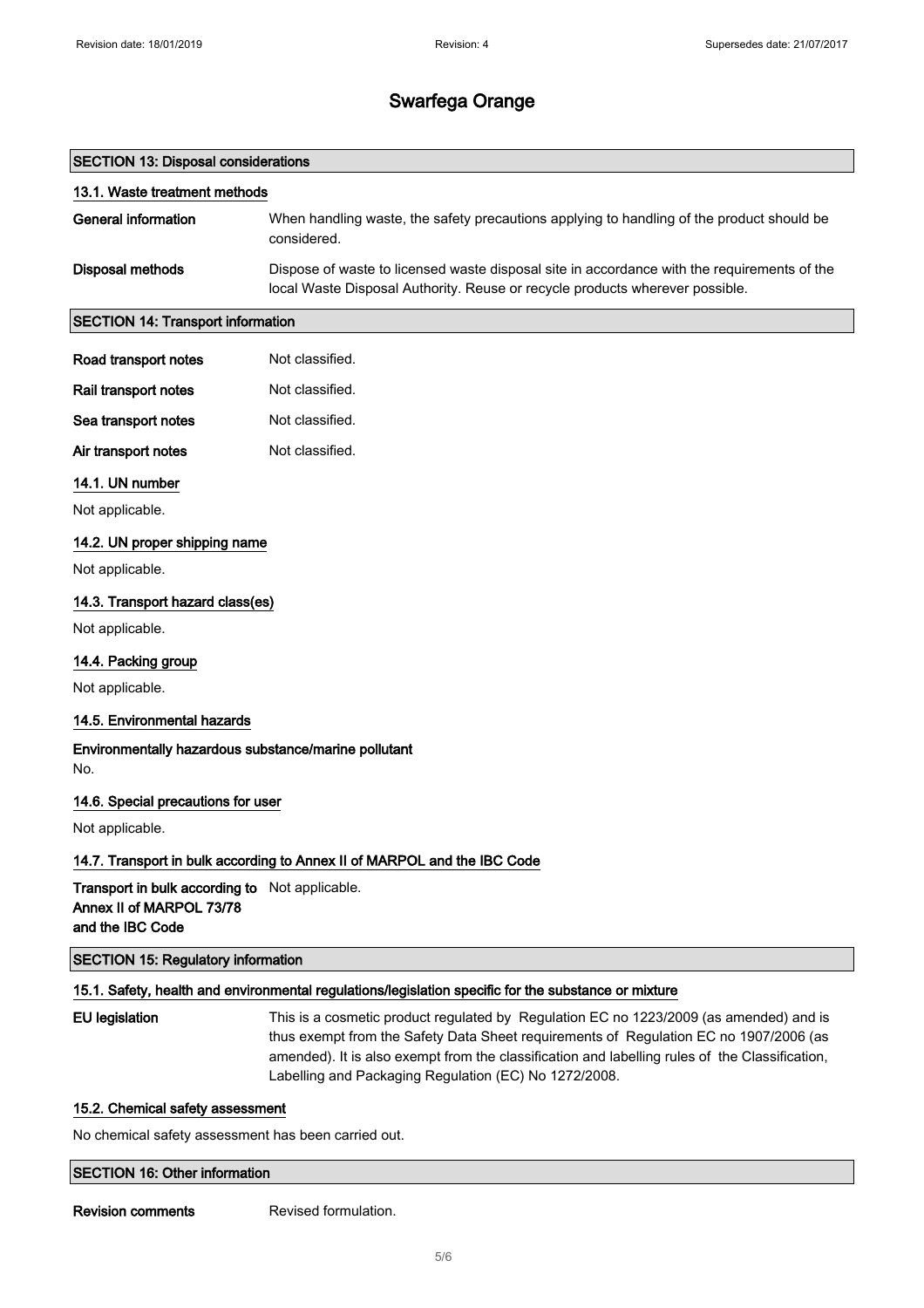#### SECTION 13: Disposal considerations

| 13.1. Waste treatment methods |                                                                                                                                                                             |
|-------------------------------|-----------------------------------------------------------------------------------------------------------------------------------------------------------------------------|
| General information           | When handling waste, the safety precautions applying to handling of the product should be<br>considered.                                                                    |
| Disposal methods              | Dispose of waste to licensed waste disposal site in accordance with the requirements of the<br>local Waste Disposal Authority. Reuse or recycle products wherever possible. |

## SECTION 14: Transport information

| Road transport notes | Not classified. |
|----------------------|-----------------|
| Rail transport notes | Not classified. |
| Sea transport notes  | Not classified. |

## Air transport notes Not classified.

## 14.1. UN number

Not applicable.

## 14.2. UN proper shipping name

Not applicable.

#### 14.3. Transport hazard class(es)

Not applicable.

## 14.4. Packing group

Not applicable.

## 14.5. Environmental hazards

Environmentally hazardous substance/marine pollutant No.

## 14.6. Special precautions for user

Not applicable.

## 14.7. Transport in bulk according to Annex II of MARPOL and the IBC Code

Transport in bulk according to Not applicable. Annex II of MARPOL 73/78 and the IBC Code

## SECTION 15: Regulatory information

## 15.1. Safety, health and environmental regulations/legislation specific for the substance or mixture

EU legislation This is a cosmetic product regulated by Regulation EC no 1223/2009 (as amended) and is thus exempt from the Safety Data Sheet requirements of Regulation EC no 1907/2006 (as amended). It is also exempt from the classification and labelling rules of the Classification, Labelling and Packaging Regulation (EC) No 1272/2008.

#### 15.2. Chemical safety assessment

No chemical safety assessment has been carried out.

#### SECTION 16: Other information

Revision comments Revised formulation.